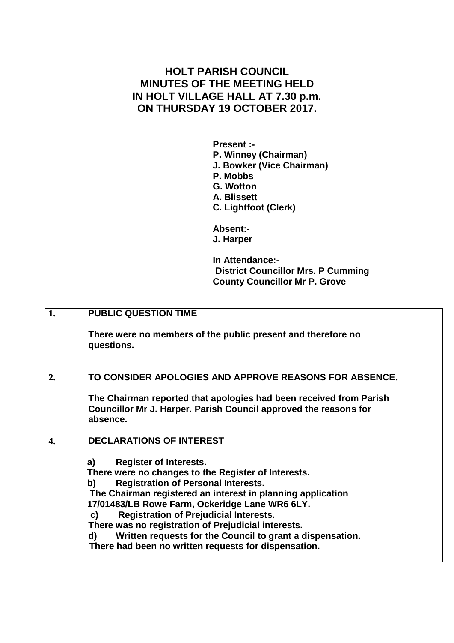## **HOLT PARISH COUNCIL MINUTES OF THE MEETING HELD IN HOLT VILLAGE HALL AT 7.30 p.m. ON THURSDAY 19 OCTOBER 2017.**

**Present :- P. Winney (Chairman) J. Bowker (Vice Chairman) P. Mobbs G. Wotton A. Blissett C. Lightfoot (Clerk)**

**Absent:- J. Harper**

**In Attendance:- District Councillor Mrs. P Cumming County Councillor Mr P. Grove**

| 1.               | <b>PUBLIC QUESTION TIME</b>                                                                                                                                                                                                                                                                                                                                                                                                                                                                              |  |
|------------------|----------------------------------------------------------------------------------------------------------------------------------------------------------------------------------------------------------------------------------------------------------------------------------------------------------------------------------------------------------------------------------------------------------------------------------------------------------------------------------------------------------|--|
|                  | There were no members of the public present and therefore no<br>questions.                                                                                                                                                                                                                                                                                                                                                                                                                               |  |
| 2.               | TO CONSIDER APOLOGIES AND APPROVE REASONS FOR ABSENCE.                                                                                                                                                                                                                                                                                                                                                                                                                                                   |  |
|                  | The Chairman reported that apologies had been received from Parish<br>Councillor Mr J. Harper. Parish Council approved the reasons for<br>absence.                                                                                                                                                                                                                                                                                                                                                       |  |
| $\overline{4}$ . | <b>DECLARATIONS OF INTEREST</b>                                                                                                                                                                                                                                                                                                                                                                                                                                                                          |  |
|                  | <b>Register of Interests.</b><br>a)<br>There were no changes to the Register of Interests.<br><b>Registration of Personal Interests.</b><br>b)<br>The Chairman registered an interest in planning application<br>17/01483/LB Rowe Farm, Ockeridge Lane WR6 6LY.<br><b>Registration of Prejudicial Interests.</b><br>C)<br>There was no registration of Prejudicial interests.<br>Written requests for the Council to grant a dispensation.<br>d)<br>There had been no written requests for dispensation. |  |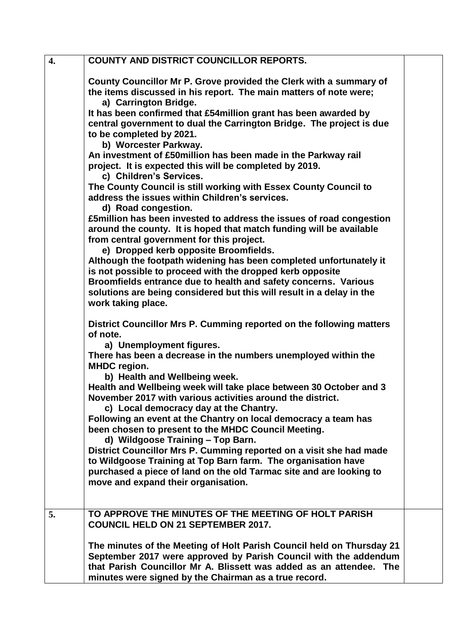| $\overline{4}$ . | <b>COUNTY AND DISTRICT COUNCILLOR REPORTS.</b>                                                                                       |  |
|------------------|--------------------------------------------------------------------------------------------------------------------------------------|--|
|                  | County Councillor Mr P. Grove provided the Clerk with a summary of                                                                   |  |
|                  | the items discussed in his report. The main matters of note were;<br>a) Carrington Bridge.                                           |  |
|                  | It has been confirmed that £54 million grant has been awarded by                                                                     |  |
|                  | central government to dual the Carrington Bridge. The project is due                                                                 |  |
|                  | to be completed by 2021.                                                                                                             |  |
|                  | b) Worcester Parkway.                                                                                                                |  |
|                  | An investment of £50million has been made in the Parkway rail<br>project. It is expected this will be completed by 2019.             |  |
|                  | c) Children's Services.                                                                                                              |  |
|                  | The County Council is still working with Essex County Council to                                                                     |  |
|                  | address the issues within Children's services.                                                                                       |  |
|                  | d) Road congestion.<br>£5million has been invested to address the issues of road congestion                                          |  |
|                  | around the county. It is hoped that match funding will be available                                                                  |  |
|                  | from central government for this project.                                                                                            |  |
|                  | e) Dropped kerb opposite Broomfields.                                                                                                |  |
|                  | Although the footpath widening has been completed unfortunately it<br>is not possible to proceed with the dropped kerb opposite      |  |
|                  | Broomfields entrance due to health and safety concerns. Various                                                                      |  |
|                  | solutions are being considered but this will result in a delay in the                                                                |  |
|                  | work taking place.                                                                                                                   |  |
|                  | District Councillor Mrs P. Cumming reported on the following matters                                                                 |  |
|                  | of note.                                                                                                                             |  |
|                  | a) Unemployment figures.<br>There has been a decrease in the numbers unemployed within the                                           |  |
|                  | <b>MHDC</b> region.                                                                                                                  |  |
|                  | b) Health and Wellbeing week.                                                                                                        |  |
|                  | Health and Wellbeing week will take place between 30 October and 3                                                                   |  |
|                  | November 2017 with various activities around the district.<br>c) Local democracy day at the Chantry.                                 |  |
|                  | Following an event at the Chantry on local democracy a team has                                                                      |  |
|                  | been chosen to present to the MHDC Council Meeting.                                                                                  |  |
|                  | d) Wildgoose Training - Top Barn.                                                                                                    |  |
|                  | District Councillor Mrs P. Cumming reported on a visit she had made<br>to Wildgoose Training at Top Barn farm. The organisation have |  |
|                  | purchased a piece of land on the old Tarmac site and are looking to                                                                  |  |
|                  | move and expand their organisation.                                                                                                  |  |
|                  |                                                                                                                                      |  |
| 5.               | TO APPROVE THE MINUTES OF THE MEETING OF HOLT PARISH                                                                                 |  |
|                  | <b>COUNCIL HELD ON 21 SEPTEMBER 2017.</b>                                                                                            |  |
|                  | The minutes of the Meeting of Holt Parish Council held on Thursday 21                                                                |  |
|                  | September 2017 were approved by Parish Council with the addendum                                                                     |  |
|                  | that Parish Councillor Mr A. Blissett was added as an attendee. The                                                                  |  |
|                  | minutes were signed by the Chairman as a true record.                                                                                |  |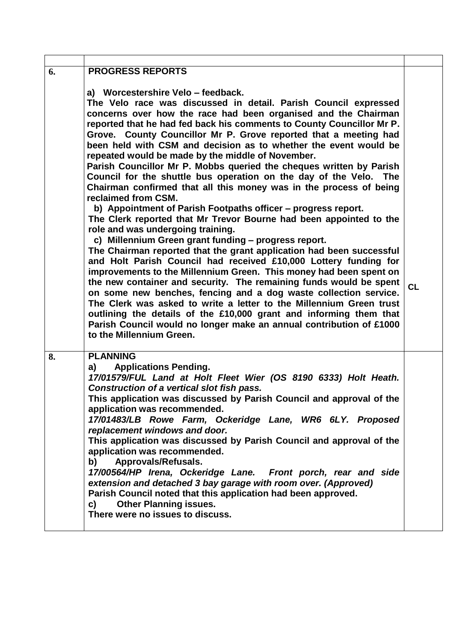| 6. | <b>PROGRESS REPORTS</b>                                                                                                                                                                                                                                                                                                                                                                                                                                                                                                                                                                                                                                                                                                                                                                                                                                                                                                                                                                                                                                                                                                                                                                                                                                                                                                                                                                                                                                                                                                                |    |
|----|----------------------------------------------------------------------------------------------------------------------------------------------------------------------------------------------------------------------------------------------------------------------------------------------------------------------------------------------------------------------------------------------------------------------------------------------------------------------------------------------------------------------------------------------------------------------------------------------------------------------------------------------------------------------------------------------------------------------------------------------------------------------------------------------------------------------------------------------------------------------------------------------------------------------------------------------------------------------------------------------------------------------------------------------------------------------------------------------------------------------------------------------------------------------------------------------------------------------------------------------------------------------------------------------------------------------------------------------------------------------------------------------------------------------------------------------------------------------------------------------------------------------------------------|----|
|    | a) Worcestershire Velo - feedback.<br>The Velo race was discussed in detail. Parish Council expressed<br>concerns over how the race had been organised and the Chairman<br>reported that he had fed back his comments to County Councillor Mr P.<br>Grove. County Councillor Mr P. Grove reported that a meeting had<br>been held with CSM and decision as to whether the event would be<br>repeated would be made by the middle of November.<br>Parish Councillor Mr P. Mobbs queried the cheques written by Parish<br>Council for the shuttle bus operation on the day of the Velo. The<br>Chairman confirmed that all this money was in the process of being<br>reclaimed from CSM.<br>b) Appointment of Parish Footpaths officer - progress report.<br>The Clerk reported that Mr Trevor Bourne had been appointed to the<br>role and was undergoing training.<br>c) Millennium Green grant funding - progress report.<br>The Chairman reported that the grant application had been successful<br>and Holt Parish Council had received £10,000 Lottery funding for<br>improvements to the Millennium Green. This money had been spent on<br>the new container and security. The remaining funds would be spent<br>on some new benches, fencing and a dog waste collection service.<br>The Clerk was asked to write a letter to the Millennium Green trust<br>outlining the details of the £10,000 grant and informing them that<br>Parish Council would no longer make an annual contribution of £1000<br>to the Millennium Green. | CL |
| 8. | <b>PLANNING</b><br><b>Applications Pending.</b><br>a)<br>17/01579/FUL Land at Holt Fleet Wier (OS 8190 6333) Holt Heath.<br>Construction of a vertical slot fish pass.<br>This application was discussed by Parish Council and approval of the<br>application was recommended.<br>17/01483/LB Rowe Farm, Ockeridge Lane, WR6 6LY. Proposed<br>replacement windows and door.<br>This application was discussed by Parish Council and approval of the<br>application was recommended.<br>b) Approvals/Refusals.<br>17/00564/HP Irena, Ockeridge Lane. Front porch, rear and side<br>extension and detached 3 bay garage with room over. (Approved)<br>Parish Council noted that this application had been approved.<br><b>Other Planning issues.</b><br>C)<br>There were no issues to discuss.                                                                                                                                                                                                                                                                                                                                                                                                                                                                                                                                                                                                                                                                                                                                           |    |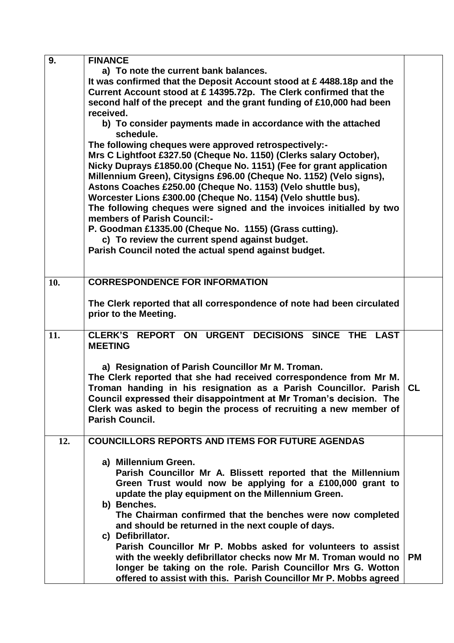| 9.  | <b>FINANCE</b>                                                                                          |           |
|-----|---------------------------------------------------------------------------------------------------------|-----------|
|     | a) To note the current bank balances.                                                                   |           |
|     | It was confirmed that the Deposit Account stood at £4488.18p and the                                    |           |
|     | Current Account stood at £ 14395.72p. The Clerk confirmed that the                                      |           |
|     | second half of the precept and the grant funding of £10,000 had been                                    |           |
|     | received.                                                                                               |           |
|     | b) To consider payments made in accordance with the attached                                            |           |
|     | schedule.                                                                                               |           |
|     | The following cheques were approved retrospectively:-                                                   |           |
|     | Mrs C Lightfoot £327.50 (Cheque No. 1150) (Clerks salary October),                                      |           |
|     | Nicky Duprays £1850.00 (Cheque No. 1151) (Fee for grant application                                     |           |
|     | Millennium Green), Citysigns £96.00 (Cheque No. 1152) (Velo signs),                                     |           |
|     | Astons Coaches £250.00 (Cheque No. 1153) (Velo shuttle bus),                                            |           |
|     | Worcester Lions £300.00 (Cheque No. 1154) (Velo shuttle bus).                                           |           |
|     | The following cheques were signed and the invoices initialled by two                                    |           |
|     | members of Parish Council:-                                                                             |           |
|     | P. Goodman £1335.00 (Cheque No. 1155) (Grass cutting).                                                  |           |
|     |                                                                                                         |           |
|     | c) To review the current spend against budget.<br>Parish Council noted the actual spend against budget. |           |
|     |                                                                                                         |           |
|     |                                                                                                         |           |
| 10. | <b>CORRESPONDENCE FOR INFORMATION</b>                                                                   |           |
|     |                                                                                                         |           |
|     | The Clerk reported that all correspondence of note had been circulated                                  |           |
|     | prior to the Meeting.                                                                                   |           |
|     |                                                                                                         |           |
| 11. | CLERK'S REPORT ON URGENT DECISIONS SINCE THE LAST                                                       |           |
|     | <b>MEETING</b>                                                                                          |           |
|     |                                                                                                         |           |
|     | a) Resignation of Parish Councillor Mr M. Troman.                                                       |           |
|     | The Clerk reported that she had received correspondence from Mr M.                                      |           |
|     | Troman handing in his resignation as a Parish Councillor. Parish                                        | <b>CL</b> |
|     | Council expressed their disappointment at Mr Troman's decision. The                                     |           |
|     | Clerk was asked to begin the process of recruiting a new member of                                      |           |
|     | <b>Parish Council.</b>                                                                                  |           |
|     |                                                                                                         |           |
| 12. | <b>COUNCILLORS REPORTS AND ITEMS FOR FUTURE AGENDAS</b>                                                 |           |
|     |                                                                                                         |           |
|     | a) Millennium Green.                                                                                    |           |
|     | Parish Councillor Mr A. Blissett reported that the Millennium                                           |           |
|     | Green Trust would now be applying for a £100,000 grant to                                               |           |
|     | update the play equipment on the Millennium Green.                                                      |           |
|     | b) Benches.                                                                                             |           |
|     | The Chairman confirmed that the benches were now completed                                              |           |
|     | and should be returned in the next couple of days.                                                      |           |
|     | c) Defibrillator.                                                                                       |           |
|     | Parish Councillor Mr P. Mobbs asked for volunteers to assist                                            |           |
|     | with the weekly defibrillator checks now Mr M. Troman would no                                          | <b>PM</b> |
|     | longer be taking on the role. Parish Councillor Mrs G. Wotton                                           |           |
|     | offered to assist with this. Parish Councillor Mr P. Mobbs agreed                                       |           |